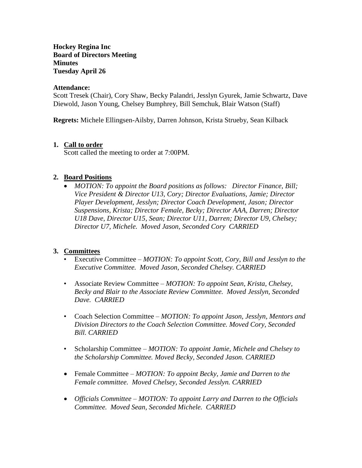## **Hockey Regina Inc Board of Directors Meeting Minutes Tuesday April 26**

#### **Attendance:**

Scott Tresek (Chair), Cory Shaw, Becky Palandri, Jesslyn Gyurek, Jamie Schwartz, Dave Diewold, Jason Young, Chelsey Bumphrey, Bill Semchuk, Blair Watson (Staff)

**Regrets:** Michele Ellingsen-Ailsby, Darren Johnson, Krista Strueby, Sean Kilback

## **1. Call to order**

Scott called the meeting to order at 7:00PM.

## **2. Board Positions**

 *MOTION: To appoint the Board positions as follows: Director Finance, Bill; Vice President & Director U13, Cory; Director Evaluations, Jamie; Director Player Development, Jesslyn; Director Coach Development, Jason; Director Suspensions, Krista; Director Female, Becky; Director AAA, Darren; Director U18 Dave, Director U15, Sean; Director U11, Darren; Director U9, Chelsey; Director U7, Michele. Moved Jason, Seconded Cory CARRIED*

#### **3. Committees**

- Executive Committee *MOTION: To appoint Scott, Cory, Bill and Jesslyn to the Executive Committee. Moved Jason, Seconded Chelsey. CARRIED*
- Associate Review Committee *MOTION: To appoint Sean, Krista, Chelsey, Becky and Blair to the Associate Review Committee. Moved Jesslyn, Seconded Dave. CARRIED*
- Coach Selection Committee *MOTION: To appoint Jason, Jesslyn, Mentors and Division Directors to the Coach Selection Committee. Moved Cory, Seconded Bill. CARRIED*
- Scholarship Committee *MOTION: To appoint Jamie, Michele and Chelsey to the Scholarship Committee. Moved Becky, Seconded Jason. CARRIED*
- Female Committee *MOTION: To appoint Becky, Jamie and Darren to the Female committee. Moved Chelsey, Seconded Jesslyn. CARRIED*
- *Officials Committee – MOTION: To appoint Larry and Darren to the Officials Committee. Moved Sean, Seconded Michele. CARRIED*